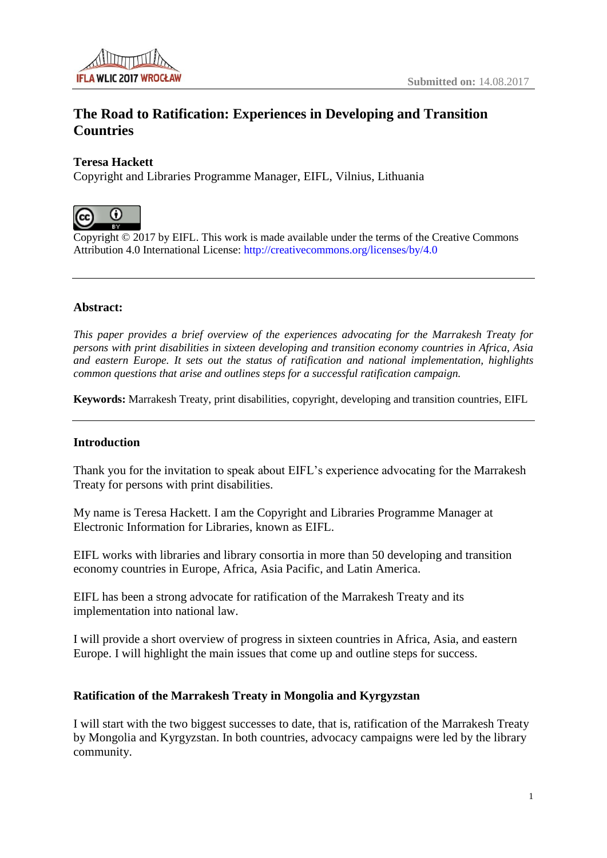

# **The Road to Ratification: Experiences in Developing and Transition Countries**

# **Teresa Hackett**

Copyright and Libraries Programme Manager, EIFL, Vilnius, Lithuania



Copyright © 2017 by EIFL. This work is made available under the terms of the Creative Commons Attribution 4.0 International License: <http://creativecommons.org/licenses/by/4.0>

### **Abstract:**

*This paper provides a brief overview of the experiences advocating for the Marrakesh Treaty for persons with print disabilities in sixteen developing and transition economy countries in Africa, Asia and eastern Europe. It sets out the status of ratification and national implementation, highlights common questions that arise and outlines steps for a successful ratification campaign.*

**Keywords:** Marrakesh Treaty, print disabilities, copyright, developing and transition countries, EIFL

#### **Introduction**

Thank you for the invitation to speak about EIFL's experience advocating for the Marrakesh Treaty for persons with print disabilities.

My name is Teresa Hackett. I am the Copyright and Libraries Programme Manager at Electronic Information for Libraries, known as EIFL.

EIFL works with libraries and library consortia in more than 50 developing and transition economy countries in Europe, Africa, Asia Pacific, and Latin America.

EIFL has been a strong advocate for ratification of the Marrakesh Treaty and its implementation into national law.

I will provide a short overview of progress in sixteen countries in Africa, Asia, and eastern Europe. I will highlight the main issues that come up and outline steps for success.

# **Ratification of the Marrakesh Treaty in Mongolia and Kyrgyzstan**

I will start with the two biggest successes to date, that is, ratification of the Marrakesh Treaty by Mongolia and Kyrgyzstan. In both countries, advocacy campaigns were led by the library community.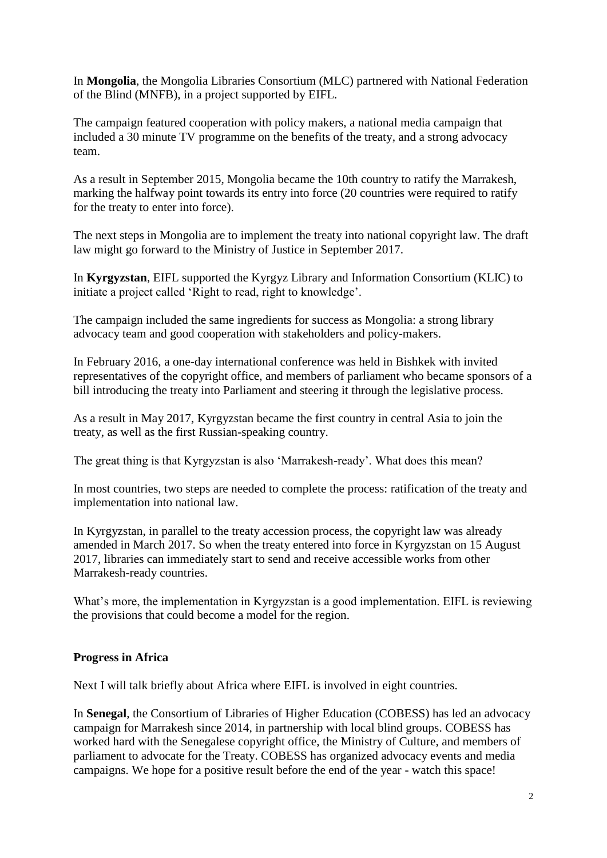In **Mongolia**, the Mongolia Libraries Consortium (MLC) partnered with National Federation of the Blind (MNFB), in a project supported by EIFL.

The campaign featured cooperation with policy makers, a national media campaign that included a 30 minute TV programme on the benefits of the treaty, and a strong advocacy team.

As a result in September 2015, Mongolia became the 10th country to ratify the Marrakesh, marking the halfway point towards its entry into force (20 countries were required to ratify for the treaty to enter into force).

The next steps in Mongolia are to implement the treaty into national copyright law. The draft law might go forward to the Ministry of Justice in September 2017.

In **Kyrgyzstan**, EIFL supported the Kyrgyz Library and Information Consortium (KLIC) to initiate a project called 'Right to read, right to knowledge'.

The campaign included the same ingredients for success as Mongolia: a strong library advocacy team and good cooperation with stakeholders and policy-makers.

In February 2016, a one-day international conference was held in Bishkek with invited representatives of the copyright office, and members of parliament who became sponsors of a bill introducing the treaty into Parliament and steering it through the legislative process.

As a result in May 2017, Kyrgyzstan became the first country in central Asia to join the treaty, as well as the first Russian-speaking country.

The great thing is that Kyrgyzstan is also 'Marrakesh-ready'. What does this mean?

In most countries, two steps are needed to complete the process: ratification of the treaty and implementation into national law.

In Kyrgyzstan, in parallel to the treaty accession process, the copyright law was already amended in March 2017. So when the treaty entered into force in Kyrgyzstan on 15 August 2017, libraries can immediately start to send and receive accessible works from other Marrakesh-ready countries.

What's more, the implementation in Kyrgyzstan is a good implementation. EIFL is reviewing the provisions that could become a model for the region.

# **Progress in Africa**

Next I will talk briefly about Africa where EIFL is involved in eight countries.

In **Senegal**, the Consortium of Libraries of Higher Education (COBESS) has led an advocacy campaign for Marrakesh since 2014, in partnership with local blind groups. COBESS has worked hard with the Senegalese copyright office, the Ministry of Culture, and members of parliament to advocate for the Treaty. COBESS has organized advocacy events and media campaigns. We hope for a positive result before the end of the year - watch this space!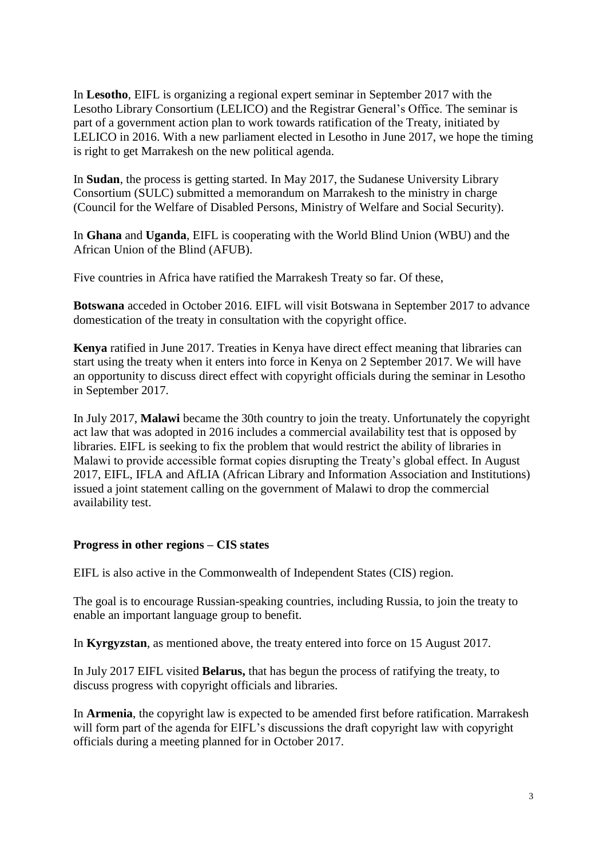In **Lesotho**, EIFL is organizing a regional expert seminar in September 2017 with the Lesotho Library Consortium (LELICO) and the Registrar General's Office. The seminar is part of a government action plan to work towards ratification of the Treaty, initiated by LELICO in 2016. With a new parliament elected in Lesotho in June 2017, we hope the timing is right to get Marrakesh on the new political agenda.

In **Sudan**, the process is getting started. In May 2017, the Sudanese University Library Consortium (SULC) submitted a memorandum on Marrakesh to the ministry in charge (Council for the Welfare of Disabled Persons, Ministry of Welfare and Social Security).

In **Ghana** and **Uganda**, EIFL is cooperating with the World Blind Union (WBU) and the African Union of the Blind (AFUB).

Five countries in Africa have ratified the Marrakesh Treaty so far. Of these,

**Botswana** acceded in October 2016. EIFL will visit Botswana in September 2017 to advance domestication of the treaty in consultation with the copyright office.

**Kenya** ratified in June 2017. Treaties in Kenya have direct effect meaning that libraries can start using the treaty when it enters into force in Kenya on 2 September 2017. We will have an opportunity to discuss direct effect with copyright officials during the seminar in Lesotho in September 2017.

In July 2017, **Malawi** became the 30th country to join the treaty. Unfortunately the copyright act law that was adopted in 2016 includes a commercial availability test that is opposed by libraries. EIFL is seeking to fix the problem that would restrict the ability of libraries in Malawi to provide accessible format copies disrupting the Treaty's global effect. In August 2017, EIFL, IFLA and AfLIA (African Library and Information Association and Institutions) issued a joint statement calling on the government of Malawi to drop the commercial availability test.

# **Progress in other regions – CIS states**

EIFL is also active in the Commonwealth of Independent States (CIS) region.

The goal is to encourage Russian-speaking countries, including Russia, to join the treaty to enable an important language group to benefit.

In **Kyrgyzstan**, as mentioned above, the treaty entered into force on 15 August 2017.

In July 2017 EIFL visited **Belarus,** that has begun the process of ratifying the treaty, to discuss progress with copyright officials and libraries.

In **Armenia**, the copyright law is expected to be amended first before ratification. Marrakesh will form part of the agenda for EIFL's discussions the draft copyright law with copyright officials during a meeting planned for in October 2017.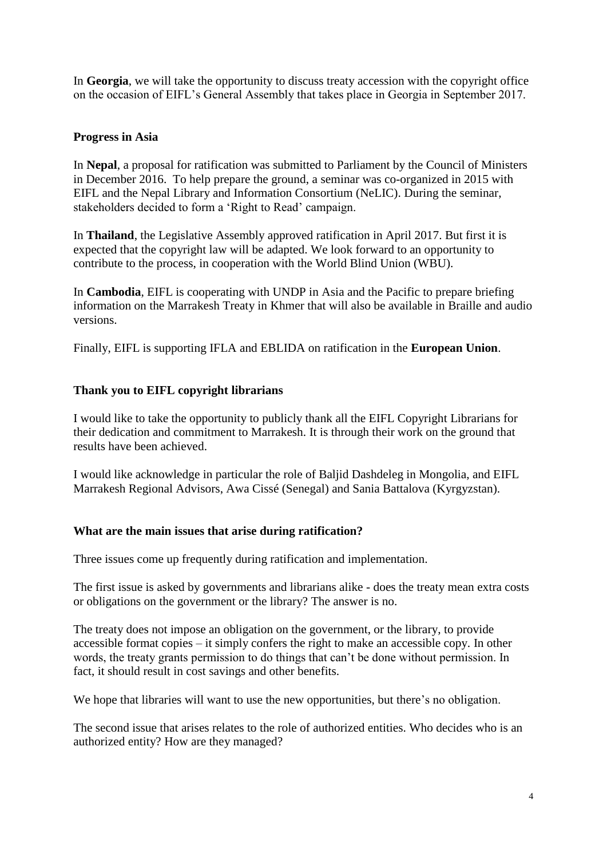In **Georgia**, we will take the opportunity to discuss treaty accession with the copyright office on the occasion of EIFL's General Assembly that takes place in Georgia in September 2017.

# **Progress in Asia**

In **Nepal**, a proposal for ratification was submitted to Parliament by the Council of Ministers in December 2016. To help prepare the ground, a seminar was co-organized in 2015 with EIFL and the Nepal Library and Information Consortium (NeLIC). During the seminar, stakeholders decided to form a 'Right to Read' campaign.

In **Thailand**, the Legislative Assembly approved ratification in April 2017. But first it is expected that the copyright law will be adapted. We look forward to an opportunity to contribute to the process, in cooperation with the World Blind Union (WBU).

In **Cambodia**, EIFL is cooperating with UNDP in Asia and the Pacific to prepare briefing information on the Marrakesh Treaty in Khmer that will also be available in Braille and audio versions.

Finally, EIFL is supporting IFLA and EBLIDA on ratification in the **European Union**.

# **Thank you to EIFL copyright librarians**

I would like to take the opportunity to publicly thank all the EIFL Copyright Librarians for their dedication and commitment to Marrakesh. It is through their work on the ground that results have been achieved.

I would like acknowledge in particular the role of Baljid Dashdeleg in Mongolia, and EIFL Marrakesh Regional Advisors, Awa Cissé (Senegal) and Sania Battalova (Kyrgyzstan).

# **What are the main issues that arise during ratification?**

Three issues come up frequently during ratification and implementation.

The first issue is asked by governments and librarians alike - does the treaty mean extra costs or obligations on the government or the library? The answer is no.

The treaty does not impose an obligation on the government, or the library, to provide accessible format copies – it simply confers the right to make an accessible copy. In other words, the treaty grants permission to do things that can't be done without permission. In fact, it should result in cost savings and other benefits.

We hope that libraries will want to use the new opportunities, but there's no obligation.

The second issue that arises relates to the role of authorized entities. Who decides who is an authorized entity? How are they managed?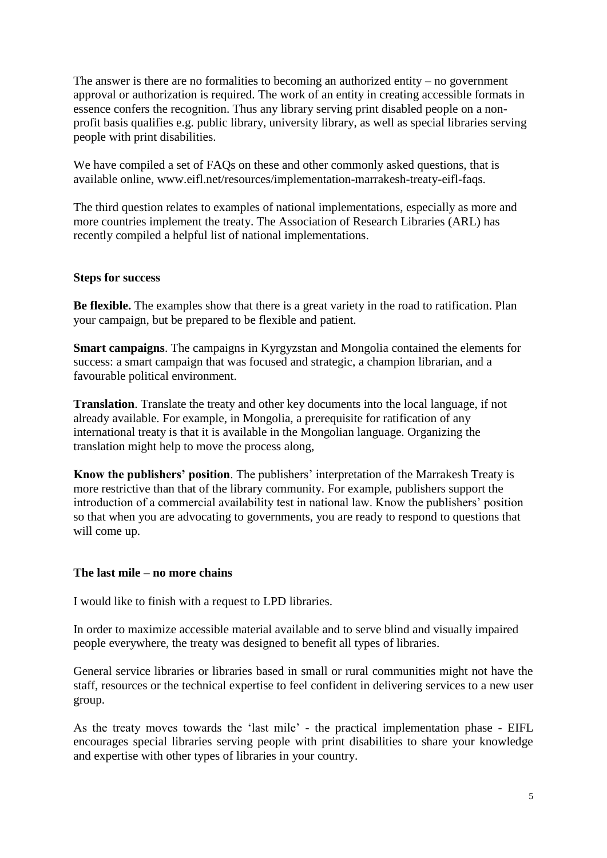The answer is there are no formalities to becoming an authorized entity – no government approval or authorization is required. The work of an entity in creating accessible formats in essence confers the recognition. Thus any library serving print disabled people on a nonprofit basis qualifies e.g. public library, university library, as well as special libraries serving people with print disabilities.

We have compiled a set of FAQs on these and other commonly asked questions, that is available online, www.eifl.net/resources/implementation-marrakesh-treaty-eifl-faqs.

The third question relates to examples of national implementations, especially as more and more countries implement the treaty. The Association of Research Libraries (ARL) has recently compiled a helpful list of national implementations.

# **Steps for success**

**Be flexible.** The examples show that there is a great variety in the road to ratification. Plan your campaign, but be prepared to be flexible and patient.

**Smart campaigns**. The campaigns in Kyrgyzstan and Mongolia contained the elements for success: a smart campaign that was focused and strategic, a champion librarian, and a favourable political environment.

**Translation**. Translate the treaty and other key documents into the local language, if not already available. For example, in Mongolia, a prerequisite for ratification of any international treaty is that it is available in the Mongolian language. Organizing the translation might help to move the process along,

**Know the publishers' position**. The publishers' interpretation of the Marrakesh Treaty is more restrictive than that of the library community. For example, publishers support the introduction of a commercial availability test in national law. Know the publishers' position so that when you are advocating to governments, you are ready to respond to questions that will come up.

#### **The last mile – no more chains**

I would like to finish with a request to LPD libraries.

In order to maximize accessible material available and to serve blind and visually impaired people everywhere, the treaty was designed to benefit all types of libraries.

General service libraries or libraries based in small or rural communities might not have the staff, resources or the technical expertise to feel confident in delivering services to a new user group.

As the treaty moves towards the 'last mile' - the practical implementation phase - EIFL encourages special libraries serving people with print disabilities to share your knowledge and expertise with other types of libraries in your country.